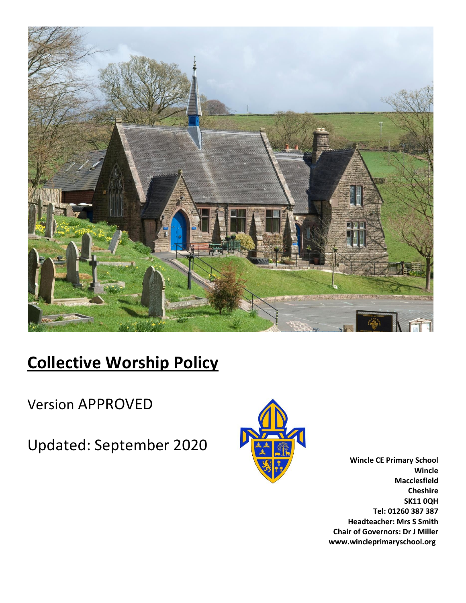

# **Collective Worship Policy**

Version APPROVED

Updated: September 2020



**Wincle CE Primary School Wincle Macclesfield Cheshire SK11 0QH Tel: 01260 387 387 Headteacher: Mrs S Smith Chair of Governors: Dr J Miller www.wincleprimaryschool.org**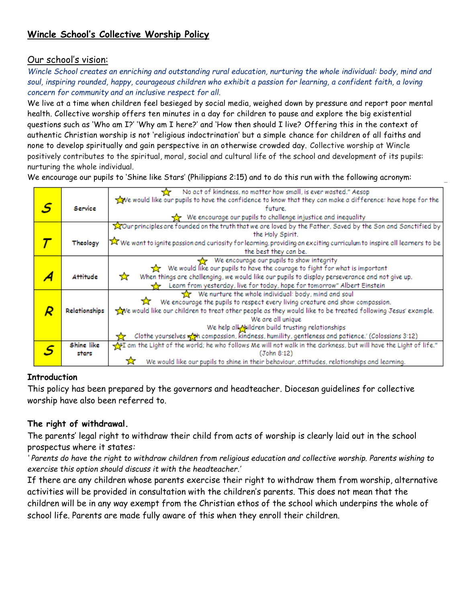# **Wincle School's Collective Worship Policy**

# Our school's vision:

*Wincle School creates an enriching and outstanding rural education, nurturing the whole individual: body, mind and soul, inspiring rounded, happy, courageous children who exhibit a passion for learning, a confident faith, a loving concern for community and an inclusive respect for all.*

We live at a time when children feel besieged by social media, weighed down by pressure and report poor mental health. Collective worship offers ten minutes in a day for children to pause and explore the big existential questions such as 'Who am I?' 'Why am I here?' and 'How then should I live? Offering this in the context of authentic Christian worship is not 'religious indoctrination' but a simple chance for children of all faiths and none to develop spiritually and gain perspective in an otherwise crowded day. Collective worship at Wincle positively contributes to the spiritual, moral, social and cultural life of the school and development of its pupils: nurturing the whole individual.

We encourage our pupils to 'Shine like Stars' (Philippians 2:15) and to do this run with the following acronym:

|   |                 | No act of kindness, no matter how small, is ever wasted." Aesop                                                                        |
|---|-----------------|----------------------------------------------------------------------------------------------------------------------------------------|
|   |                 | we would like our pupils to have the confidence to know that they can make a difference: have hope for the                             |
| S | Service         | future.                                                                                                                                |
|   |                 | We encourage our pupils to challenge injustice and inequality                                                                          |
|   |                 | Tour principles are founded on the truth that we are loved by the Father, Saved by the Son and Sanctified by                           |
|   |                 | the Holy Spirit.                                                                                                                       |
|   | Theology        | $\bar{\Join}$ We want to ignite passion and curiosity for learning, providing an exciting curriculum to inspire all learners to be $ $ |
|   |                 | the best they can be.                                                                                                                  |
|   |                 | We encourage our pupils to show integrity                                                                                              |
|   |                 | We would like our pupils to have the courage to fight for what is important                                                            |
|   | <b>Attitude</b> | ☆<br>When things are challenging, we would like our pupils to display perseverance and not give up.                                    |
|   |                 | Learn from yesterday, live for today, hope for tomorrow" Albert Einstein                                                               |
|   |                 | We nurture the whole individual: body, mind and soul                                                                                   |
|   |                 | We encourage the pupils to respect every living creature and show compassion.                                                          |
|   | Relationships   | we would like our children to treat other people as they would like to be treated following Jesus' example.                            |
|   |                 | We are all unique                                                                                                                      |
|   |                 | We help all Meildren build trusting relationships                                                                                      |
|   |                 | Clothe yourselves with compassion, kindness, humility, gentleness and patience.' (Colossians 3:12)                                     |
|   | Shine like      | am the Light of the world; he who follows Me will not walk in the darkness, but will have the Light of life."                          |
|   | stars           | (John 8:12)                                                                                                                            |
|   |                 | We would like our pupils to shine in their behaviour, attitudes, relationships and learning.                                           |

#### **Introduction**

This policy has been prepared by the governors and headteacher*.* Diocesan guidelines for collective worship have also been referred to.

# **The right of withdrawal.**

The parents' legal right to withdraw their child from acts of worship is clearly laid out in the school prospectus where it states*:*

*' Parents do have the right to withdraw children from religious education and collective worship. Parents wishing to exercise this option should discuss it with the headteacher.'*

If there are any children whose parents exercise their right to withdraw them from worship, alternative activities will be provided in consultation with the children's parents. This does not mean that the children will be in any way exempt from the Christian ethos of the school which underpins the whole of school life. Parents are made fully aware of this when they enroll their children.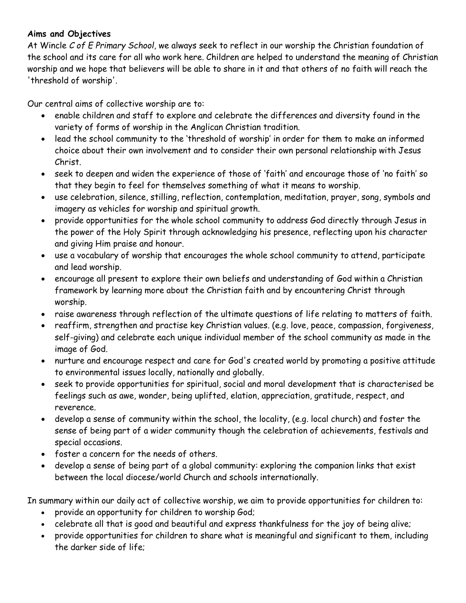# **Aims and Objectives**

At Wincle *C of E Primary School,* we always seek to reflect in our worship the Christian foundation of the school and its care for all who work here. Children are helped to understand the meaning of Christian worship and we hope that believers will be able to share in it and that others of no faith will reach the 'threshold of worship'.

Our central aims of collective worship are to:

- enable children and staff to explore and celebrate the differences and diversity found in the variety of forms of worship in the Anglican Christian tradition.
- lead the school community to the 'threshold of worship' in order for them to make an informed choice about their own involvement and to consider their own personal relationship with Jesus Christ.
- seek to deepen and widen the experience of those of 'faith' and encourage those of 'no faith' so that they begin to feel for themselves something of what it means to worship.
- use celebration, silence, stilling, reflection, contemplation, meditation, prayer, song, symbols and imagery as vehicles for worship and spiritual growth.
- provide opportunities for the whole school community to address God directly through Jesus in the power of the Holy Spirit through acknowledging his presence, reflecting upon his character and giving Him praise and honour.
- use a vocabulary of worship that encourages the whole school community to attend, participate and lead worship.
- encourage all present to explore their own beliefs and understanding of God within a Christian framework by learning more about the Christian faith and by encountering Christ through worship.
- raise awareness through reflection of the ultimate questions of life relating to matters of faith.
- reaffirm, strengthen and practise key Christian values. (e.g. love, peace, compassion, forgiveness, self-giving) and celebrate each unique individual member of the school community as made in the image of God.
- nurture and encourage respect and care for God's created world by promoting a positive attitude to environmental issues locally, nationally and globally.
- seek to provide opportunities for spiritual, social and moral development that is characterised be feelings such as awe, wonder, being uplifted, elation, appreciation, gratitude, respect, and reverence.
- develop a sense of community within the school, the locality, (e.g. local church) and foster the sense of being part of a wider community though the celebration of achievements, festivals and special occasions.
- foster a concern for the needs of others.
- develop a sense of being part of a global community: exploring the companion links that exist between the local diocese/world Church and schools internationally.

In summary within our daily act of collective worship, we aim to provide opportunities for children to:

- provide an opportunity for children to worship God;
- celebrate all that is good and beautiful and express thankfulness for the joy of being alive;
- provide opportunities for children to share what is meaningful and significant to them, including the darker side of life;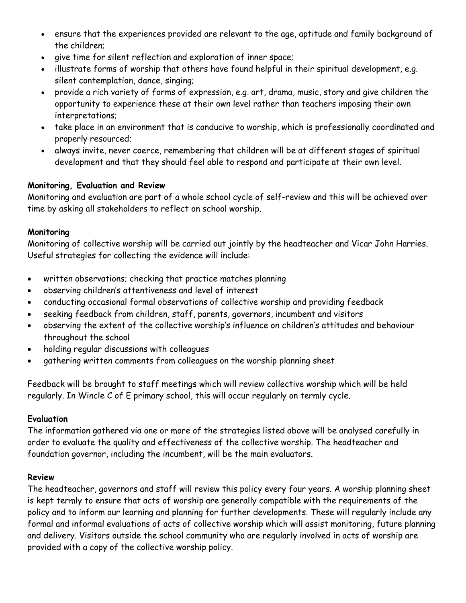- ensure that the experiences provided are relevant to the age, aptitude and family background of the children;
- give time for silent reflection and exploration of inner space;
- illustrate forms of worship that others have found helpful in their spiritual development, e.g. silent contemplation, dance, singing;
- provide a rich variety of forms of expression, e.g. art, drama, music, story and give children the opportunity to experience these at their own level rather than teachers imposing their own interpretations;
- take place in an environment that is conducive to worship, which is professionally coordinated and properly resourced;
- always invite, never coerce, remembering that children will be at different stages of spiritual development and that they should feel able to respond and participate at their own level.

#### **Monitoring, Evaluation and Review**

Monitoring and evaluation are part of a whole school cycle of self-review and this will be achieved over time by asking all stakeholders to reflect on school worship.

#### **Monitoring**

Monitoring of collective worship will be carried out jointly by the headteacher and Vicar John Harries. Useful strategies for collecting the evidence will include:

- written observations; checking that practice matches planning
- observing children's attentiveness and level of interest
- conducting occasional formal observations of collective worship and providing feedback
- seeking feedback from children, staff, parents, governors, incumbent and visitors
- observing the extent of the collective worship's influence on children's attitudes and behaviour throughout the school
- holding regular discussions with colleagues
- gathering written comments from colleagues on the worship planning sheet

Feedback will be brought to staff meetings which will review collective worship which will be held regularly. In Wincle C of E primary school, this will occur regularly on termly cycle.

# **Evaluation**

The information gathered via one or more of the strategies listed above will be analysed carefully in order to evaluate the quality and effectiveness of the collective worship. The headteacher and foundation governor, including the incumbent, will be the main evaluators.

# **Review**

The headteacher, governors and staff will review this policy every four years. A worship planning sheet is kept termly to ensure that acts of worship are generally compatible with the requirements of the policy and to inform our learning and planning for further developments. These will regularly include any formal and informal evaluations of acts of collective worship which will assist monitoring, future planning and delivery. Visitors outside the school community who are regularly involved in acts of worship are provided with a copy of the collective worship policy.